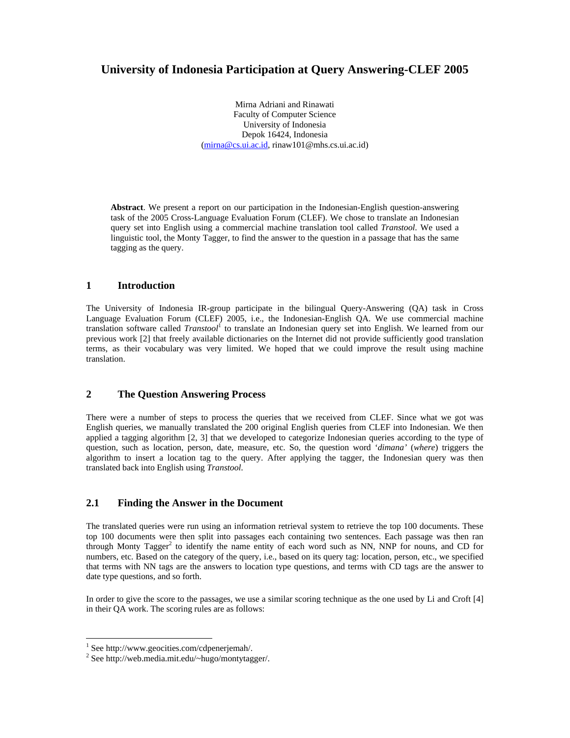# **University of Indonesia Participation at Query Answering-CLEF 2005**

Mirna Adriani and Rinawati Faculty of Computer Science University of Indonesia Depok 16424, Indonesia (mirna@cs.ui.ac.id, rinaw101@mhs.cs.ui.ac.id)

**Abstract**. We present a report on our participation in the Indonesian-English question-answering task of the 2005 Cross-Language Evaluation Forum (CLEF). We chose to translate an Indonesian query set into English using a commercial machine translation tool called *Transtool.* We used a linguistic tool, the Monty Tagger, to find the answer to the question in a passage that has the same tagging as the query.

# **1 Introduction**

The University of Indonesia IR-group participate in the bilingual Query-Answering (QA) task in Cross Language Evaluation Forum (CLEF) 2005, i.e., the Indonesian-English QA. We use commercial machine translation software called *Transtool*<sup>1</sup> to translate an Indonesian query set into English. We learned from our previous work [2] that freely available dictionaries on the Internet did not provide sufficiently good translation terms, as their vocabulary was very limited. We hoped that we could improve the result using machine translation.

### **2 The Question Answering Process**

There were a number of steps to process the queries that we received from CLEF. Since what we got was English queries, we manually translated the 200 original English queries from CLEF into Indonesian. We then applied a tagging algorithm [2, 3] that we developed to categorize Indonesian queries according to the type of question, such as location, person, date, measure, etc. So, the question word '*dimana'* (*where*) triggers the algorithm to insert a location tag to the query. After applying the tagger, the Indonesian query was then translated back into English using *Transtool.*

# **2.1 Finding the Answer in the Document**

The translated queries were run using an information retrieval system to retrieve the top 100 documents. These top 100 documents were then split into passages each containing two sentences. Each passage was then ran through Monty Tagger<sup>2</sup> to identify the name entity of each word such as NN, NNP for nouns, and CD for numbers, etc. Based on the category of the query, i.e., based on its query tag: location, person, etc., we specified that terms with NN tags are the answers to location type questions, and terms with CD tags are the answer to date type questions, and so forth.

In order to give the score to the passages, we use a similar scoring technique as the one used by Li and Croft [4] in their QA work. The scoring rules are as follows:

-

<sup>1</sup> See http://www.geocities.com/cdpenerjemah/.

<sup>2</sup> See http://web.media.mit.edu/~hugo/montytagger/.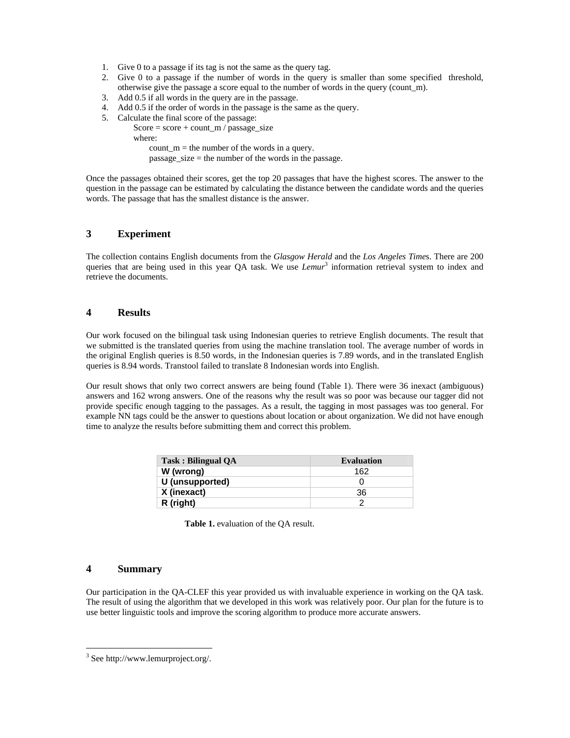- 1. Give 0 to a passage if its tag is not the same as the query tag.
- 2. Give 0 to a passage if the number of words in the query is smaller than some specified threshold, otherwise give the passage a score equal to the number of words in the query (count\_m).
- 3. Add 0.5 if all words in the query are in the passage.
- 4. Add 0.5 if the order of words in the passage is the same as the query.
- 5. Calculate the final score of the passage:
	- Score =  $score + count$  m / passage size
		- where:

count  $m =$  the number of the words in a query. passage\_size = the number of the words in the passage.

Once the passages obtained their scores, get the top 20 passages that have the highest scores. The answer to the question in the passage can be estimated by calculating the distance between the candidate words and the queries words. The passage that has the smallest distance is the answer.

#### **3 Experiment**

The collection contains English documents from the *Glasgow Herald* and the *Los Angeles Time*s. There are 200 queries that are being used in this year QA task. We use *Lemur*<sup>3</sup> information retrieval system to index and retrieve the documents.

# **4 Results**

Our work focused on the bilingual task using Indonesian queries to retrieve English documents. The result that we submitted is the translated queries from using the machine translation tool. The average number of words in the original English queries is 8.50 words, in the Indonesian queries is 7.89 words, and in the translated English queries is 8.94 words. Transtool failed to translate 8 Indonesian words into English.

Our result shows that only two correct answers are being found (Table 1). There were 36 inexact (ambiguous) answers and 162 wrong answers. One of the reasons why the result was so poor was because our tagger did not provide specific enough tagging to the passages. As a result, the tagging in most passages was too general. For example NN tags could be the answer to questions about location or about organization. We did not have enough time to analyze the results before submitting them and correct this problem.

| Task: Bilingual OA | <b>Evaluation</b> |
|--------------------|-------------------|
| W (wrong)          | 162               |
| U (unsupported)    |                   |
| X (inexact)        | 36                |
| R (right)          |                   |

**Table 1.** evaluation of the QA result.

# **4 Summary**

-

Our participation in the QA-CLEF this year provided us with invaluable experience in working on the QA task. The result of using the algorithm that we developed in this work was relatively poor. Our plan for the future is to use better linguistic tools and improve the scoring algorithm to produce more accurate answers.

<sup>3</sup> See http://www.lemurproject.org/.